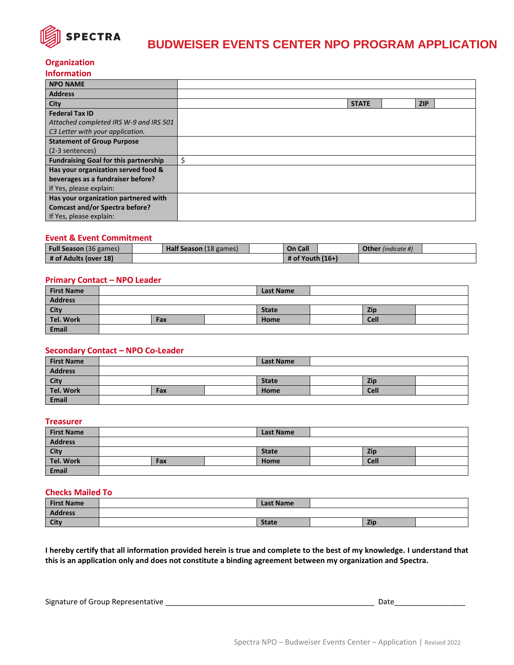

# **BUDWEISER EVENTS CENTER NPO PROGRAM APPLICATION**

## **Organization**

| <b>Information</b> |  |
|--------------------|--|
|                    |  |

| <b>NPO NAME</b>                              |              |            |  |
|----------------------------------------------|--------------|------------|--|
| <b>Address</b>                               |              |            |  |
| City                                         | <b>STATE</b> | <b>ZIP</b> |  |
| <b>Federal Tax ID</b>                        |              |            |  |
| Attached completed IRS W-9 and IRS 501       |              |            |  |
| C3 Letter with your application.             |              |            |  |
| <b>Statement of Group Purpose</b>            |              |            |  |
| (2-3 sentences)                              |              |            |  |
| <b>Fundraising Goal for this partnership</b> | \$           |            |  |
| Has your organization served food &          |              |            |  |
| beverages as a fundraiser before?            |              |            |  |
| If Yes, please explain:                      |              |            |  |
| Has your organization partnered with         |              |            |  |
| <b>Comcast and/or Spectra before?</b>        |              |            |  |
| If Yes, please explain:                      |              |            |  |

## **Event & Event Commitment**

| <b>Full Season</b> (36 games) | Half Season (18 games) | <b>On Call</b>     | <b>Other</b> (indicate #) |  |
|-------------------------------|------------------------|--------------------|---------------------------|--|
| # of Adults (over 18)         |                        | # of Youth $(16+)$ |                           |  |

## **Primary Contact – NPO Leader**

| <b>First Name</b> |     | <b>Last Name</b> |             |  |
|-------------------|-----|------------------|-------------|--|
| Address           |     |                  |             |  |
| <b>City</b>       |     | <b>State</b>     | Zip         |  |
| Tel. Work         | Fax | Home             | <b>Cell</b> |  |
| Email             |     |                  |             |  |

# **Secondary Contact – NPO Co-Leader**

| <b>First Name</b> |     | <b>Last Name</b> |  |      |  |
|-------------------|-----|------------------|--|------|--|
| Address           |     |                  |  |      |  |
| <b>City</b>       |     | <b>State</b>     |  | Zip  |  |
| Tel. Work         | Fax | Home             |  | Cell |  |
| Email             |     |                  |  |      |  |

#### **Treasurer**

| <b>First Name</b> |     | <b>Last Name</b> |             |  |
|-------------------|-----|------------------|-------------|--|
| <b>Address</b>    |     |                  |             |  |
| City              |     | <b>State</b>     | Zip         |  |
| Tel. Work         | Fax | <b>Home</b>      | <b>Cell</b> |  |
| <b>Email</b>      |     |                  |             |  |

#### **Checks Mailed To**

| <b>First Name</b> | <b>Last Name</b> |     |  |
|-------------------|------------------|-----|--|
| <b>Address</b>    |                  |     |  |
| City              | <b>State</b>     | Zic |  |

**I hereby certify that all information provided herein is true and complete to the best of my knowledge. I understand that this is an application only and does not constitute a binding agreement between my organization and Spectra.**

Signature of Group Representative \_\_\_\_\_\_\_\_\_\_\_\_\_\_\_\_\_\_\_\_\_\_\_\_\_\_\_\_\_\_\_\_\_\_\_\_\_\_\_\_\_\_\_\_\_\_\_\_\_\_ Date\_\_\_\_\_\_\_\_\_\_\_\_\_\_\_\_\_